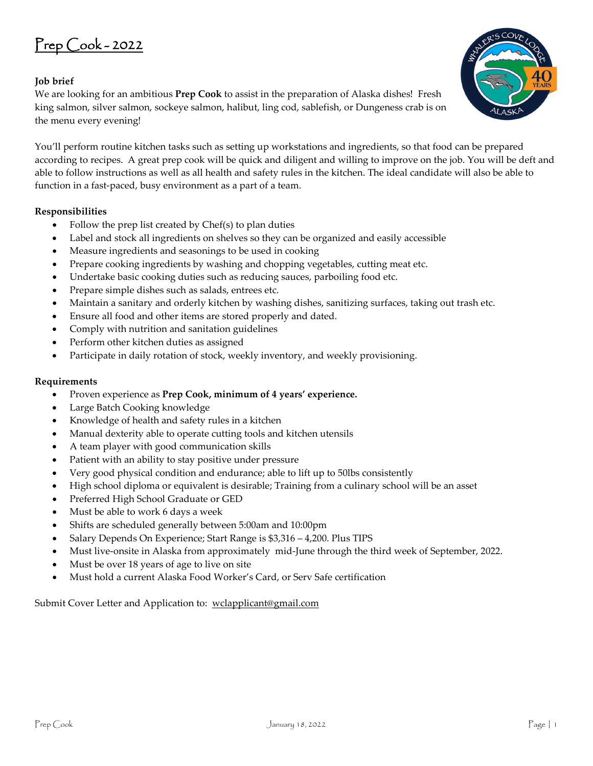## Prep Cook - 2022

## **Job brief**

We are looking for an ambitious **Prep Cook** to assist in the preparation of Alaska dishes! Fresh king salmon, silver salmon, sockeye salmon, halibut, ling cod, sablefish, or Dungeness crab is on the menu every evening!

You'll perform routine kitchen tasks such as setting up workstations and ingredients, so that food can be prepared according to recipes. A great prep cook will be quick and diligent and willing to improve on the job. You will be deft and able to follow instructions as well as all health and safety rules in the kitchen. The ideal candidate will also be able to function in a fast-paced, busy environment as a part of a team.

## **Responsibilities**

- Follow the prep list created by Chef(s) to plan duties
- Label and stock all ingredients on shelves so they can be organized and easily accessible
- Measure ingredients and seasonings to be used in cooking
- Prepare cooking ingredients by washing and chopping vegetables, cutting meat etc.
- Undertake basic cooking duties such as reducing sauces, parboiling food etc.
- Prepare simple dishes such as salads, entrees etc.
- Maintain a sanitary and orderly kitchen by washing dishes, sanitizing surfaces, taking out trash etc.
- Ensure all food and other items are stored properly and dated.
- Comply with nutrition and sanitation guidelines
- Perform other kitchen duties as assigned
- Participate in daily rotation of stock, weekly inventory, and weekly provisioning.

## **Requirements**

- Proven experience as **Prep Cook, minimum of 4 years' experience.**
- Large Batch Cooking knowledge
- Knowledge of health and safety rules in a kitchen
- Manual dexterity able to operate cutting tools and kitchen utensils
- A team player with good communication skills
- Patient with an ability to stay positive under pressure
- Very good physical condition and endurance; able to lift up to 50lbs consistently
- High school diploma or equivalent is desirable; Training from a culinary school will be an asset
- Preferred High School Graduate or GED
- Must be able to work 6 days a week
- Shifts are scheduled generally between 5:00am and 10:00pm
- Salary Depends On Experience; Start Range is \$3,316 4,200. Plus TIPS
- Must live-onsite in Alaska from approximately mid-June through the third week of September, 2022.
- Must be over 18 years of age to live on site
- Must hold a current Alaska Food Worker's Card, or Serv Safe certification

Submit Cover Letter and Application to: [wclapplicant@gmail.com](mailto:wclapplicant@gmail.com)